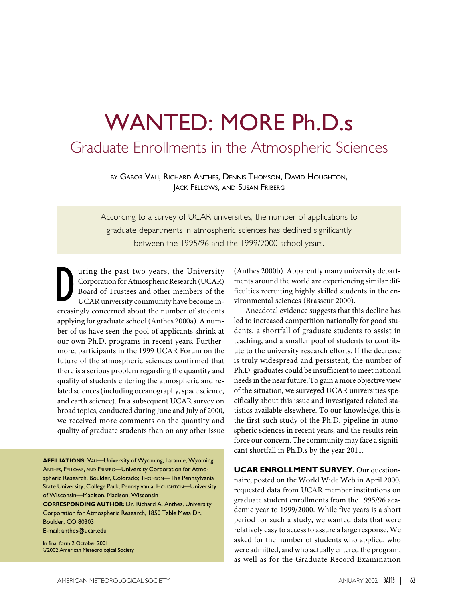# WANTED: MORE Ph.D.s

# Graduate Enrollments in the Atmospheric Sciences

BY GABOR VALI, RICHARD ANTHES, DENNIS THOMSON, DAVID HOUGHTON, JACK FELLOWS, AND SUSAN FRIBERG

According to a survey of UCAR universities, the number of applications to graduate departments in atmospheric sciences has declined significantly between the 1995/96 and the 1999/2000 school years.

a uring the past two years, the University<br>Corporation for Atmospheric Research (UCAR)<br>Board of Trustees and other members of the<br>UCAR university community have become in-<br>creasingly concerned about the number of students uring the past two years, the University Corporation for Atmospheric Research (UCAR) Board of Trustees and other members of the UCAR university community have become inapplying for graduate school (Anthes 2000a). A number of us have seen the pool of applicants shrink at our own Ph.D. programs in recent years. Furthermore, participants in the 1999 UCAR Forum on the future of the atmospheric sciences confirmed that there is a serious problem regarding the quantity and quality of students entering the atmospheric and related sciences (including oceanography, space science, and earth science). In a subsequent UCAR survey on broad topics, conducted during June and July of 2000, we received more comments on the quantity and quality of graduate students than on any other issue

**AFFILIATIONS:** VALI—University of Wyoming, Laramie, Wyoming; ANTHES, FELLOWS, AND FRIBERG—University Corporation for Atmospheric Research, Boulder, Colorado; THOMSON-The Pennsylvania State University, College Park, Pennsylvania; HOUGHTON-University of Wisconsin—Madison, Madison, Wisconsin

**CORRESPONDING AUTHOR:** Dr. Richard A. Anthes, University Corporation for Atmospheric Research, 1850 Table Mesa Dr., Boulder, CO 80303

E-mail: anthes@ucar.edu

In final form 2 October 2001 ©2002 American Meteorological Society

(Anthes 2000b). Apparently many university departments around the world are experiencing similar difficulties recruiting highly skilled students in the environmental sciences (Brasseur 2000).

 Anecdotal evidence suggests that this decline has led to increased competition nationally for good students, a shortfall of graduate students to assist in teaching, and a smaller pool of students to contribute to the university research efforts. If the decrease is truly widespread and persistent, the number of Ph.D. graduates could be insufficient to meet national needs in the near future. To gain a more objective view of the situation, we surveyed UCAR universities specifically about this issue and investigated related statistics available elsewhere. To our knowledge, this is the first such study of the Ph.D. pipeline in atmospheric sciences in recent years, and the results reinforce our concern. The community may face a significant shortfall in Ph.D.s by the year 2011.

**UCAR ENROLLMENT SURVEY.** Our questionnaire, posted on the World Wide Web in April 2000, requested data from UCAR member institutions on graduate student enrollments from the 1995/96 academic year to 1999/2000. While five years is a short period for such a study, we wanted data that were relatively easy to access to assure a large response. We asked for the number of students who applied, who were admitted, and who actually entered the program, as well as for the Graduate Record Examination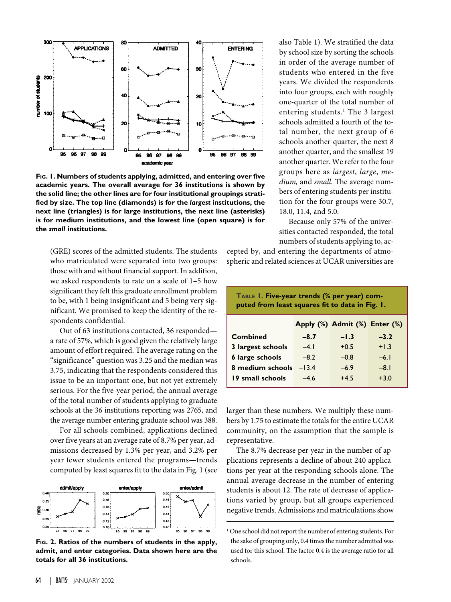

**FIG. 1. Numbers of students applying, admitted, and entering over five academic years. The overall average for 36 institutions is shown by the solid line; the other lines are for four institutional groupings stratified by size. The top line (diamonds) is for the** *largest* **institutions, the next line (triangles) is for large institutions, the next line (asterisks) is for medium institutions, and the lowest line (open square) is for the** *small* **institutions.**

(GRE) scores of the admitted students. The students who matriculated were separated into two groups: those with and without financial support. In addition, we asked respondents to rate on a scale of 1–5 how significant they felt this graduate enrollment problem to be, with 1 being insignificant and 5 being very significant. We promised to keep the identity of the respondents confidential.

Out of 63 institutions contacted, 36 responded a rate of 57%, which is good given the relatively large amount of effort required. The average rating on the "significance" question was 3.25 and the median was 3.75, indicating that the respondents considered this issue to be an important one, but not yet extremely serious. For the five-year period, the annual average of the total number of students applying to graduate schools at the 36 institutions reporting was 2765, and the average number entering graduate school was 388.

For all schools combined, applications declined over five years at an average rate of 8.7% per year, admissions decreased by 1.3% per year, and 3.2% per year fewer students entered the programs—trends computed by least squares fit to the data in Fig. 1 (see



**FIG. 2. Ratios of the numbers of students in the apply, admit, and enter categories. Data shown here are the totals for all 36 institutions.**

also Table 1). We stratified the data by school size by sorting the schools in order of the average number of students who entered in the five years. We divided the respondents into four groups, each with roughly one-quarter of the total number of entering students.<sup>1</sup> The 3 largest schools admitted a fourth of the total number, the next group of 6 schools another quarter, the next 8 another quarter, and the smallest 19 another quarter. We refer to the four groups here as *largest*, *large*, *medium,* and *small*. The average numbers of entering students per institution for the four groups were 30.7, 18.0, 11.4, and 5.0.

Because only 57% of the universities contacted responded, the total numbers of students applying to, ac-

cepted by, and entering the departments of atmospheric and related sciences at UCAR universities are

| TABLE 1. Five-year trends (% per year) com-<br>puted from least squares fit to data in Fig. 1. |         |                               |        |  |
|------------------------------------------------------------------------------------------------|---------|-------------------------------|--------|--|
|                                                                                                |         | Apply (%) Admit (%) Enter (%) |        |  |
| Combined                                                                                       | $-8.7$  | $-1.3$                        | $-3.2$ |  |
| 3 largest schools                                                                              | $-4.1$  | $+0.5$                        | $+1.3$ |  |
| 6 large schools                                                                                | $-8.2$  | $-0.8$                        | $-6.1$ |  |
| 8 medium schools                                                                               | $-13.4$ | $-6.9$                        | $-8.1$ |  |
| 19 small schools                                                                               | -46     | $+45$                         | $+3.0$ |  |

larger than these numbers. We multiply these numbers by 1.75 to estimate the totals for the entire UCAR community, on the assumption that the sample is representative.

The 8.7% decrease per year in the number of applications represents a decline of about 240 applications per year at the responding schools alone. The annual average decrease in the number of entering students is about 12. The rate of decrease of applications varied by group, but all groups experienced negative trends. Admissions and matriculations show

<sup>&</sup>lt;sup>1</sup> One school did not report the number of entering students. For the sake of grouping only, 0.4 times the number admitted was used for this school. The factor 0.4 is the average ratio for all schools.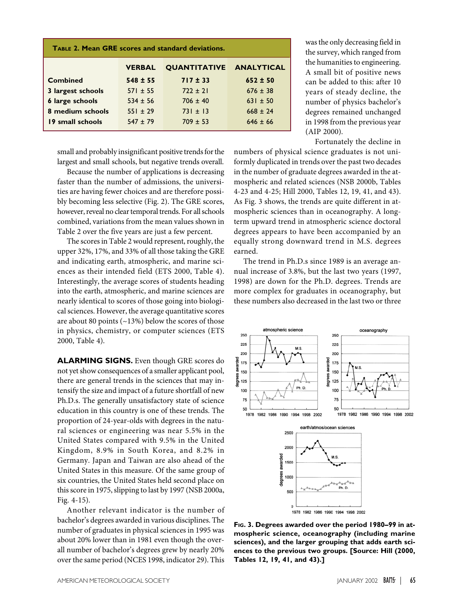| <b>TABLE 2. Mean GRE scores and standard deviations.</b> |               |                                |              |  |
|----------------------------------------------------------|---------------|--------------------------------|--------------|--|
|                                                          | <b>VERBAL</b> | <b>QUANTITATIVE ANALYTICAL</b> |              |  |
| <b>Combined</b>                                          | $548 \pm 55$  | $717 \pm 33$                   | $652 \pm 50$ |  |
| 3 largest schools                                        | $571 \pm 55$  | $722 \pm 21$                   | $676 \pm 38$ |  |
| <b>6 large schools</b>                                   | $534 \pm 56$  | $706 + 40$                     | $631 \pm 50$ |  |
| 8 medium schools                                         | $551 \pm 29$  | $731 \pm 13$                   | $668 \pm 24$ |  |
| 19 small schools                                         | $547 \pm 79$  | $709 \pm 53$                   | $646 \pm 66$ |  |

small and probably insignificant positive trends for the largest and small schools, but negative trends overall.

Because the number of applications is decreasing faster than the number of admissions, the universities are having fewer choices and are therefore possibly becoming less selective (Fig. 2). The GRE scores, however, reveal no clear temporal trends. For all schools combined, variations from the mean values shown in Table 2 over the five years are just a few percent.

The scores in Table 2 would represent, roughly, the upper 32%, 17%, and 33% of all those taking the GRE and indicating earth, atmospheric, and marine sciences as their intended field (ETS 2000, Table 4). Interestingly, the average scores of students heading into the earth, atmospheric, and marine sciences are nearly identical to scores of those going into biological sciences. However, the average quantitative scores are about 80 points  $(-13%)$  below the scores of those in physics, chemistry, or computer sciences (ETS 2000, Table 4).

**ALARMING SIGNS.** Even though GRE scores do not yet show consequences of a smaller applicant pool, there are general trends in the sciences that may intensify the size and impact of a future shortfall of new Ph.D.s. The generally unsatisfactory state of science education in this country is one of these trends. The proportion of 24-year-olds with degrees in the natural sciences or engineering was near 5.5% in the United States compared with 9.5% in the United Kingdom, 8.9% in South Korea, and 8.2% in Germany. Japan and Taiwan are also ahead of the United States in this measure. Of the same group of six countries, the United States held second place on this score in 1975, slipping to last by 1997 (NSB 2000a, Fig. 4-15).

Another relevant indicator is the number of bachelor's degrees awarded in various disciplines. The number of graduates in physical sciences in 1995 was about 20% lower than in 1981 even though the overall number of bachelor's degrees grew by nearly 20% over the same period (NCES 1998, indicator 29). This

was the only decreasing field in the survey, which ranged from the humanities to engineering. A small bit of positive news can be added to this: after 10 years of steady decline, the number of physics bachelor's degrees remained unchanged in 1998 from the previous year (AIP 2000).

Fortunately the decline in

numbers of physical science graduates is not uniformly duplicated in trends over the past two decades in the number of graduate degrees awarded in the atmospheric and related sciences (NSB 2000b, Tables 4-23 and 4-25; Hill 2000, Tables 12, 19, 41, and 43). As Fig. 3 shows, the trends are quite different in atmospheric sciences than in oceanography. A longterm upward trend in atmospheric science doctoral degrees appears to have been accompanied by an equally strong downward trend in M.S. degrees earned.

The trend in Ph.D.s since 1989 is an average annual increase of 3.8%, but the last two years (1997, 1998) are down for the Ph.D. degrees. Trends are more complex for graduates in oceanography, but these numbers also decreased in the last two or three



**FIG. 3. Degrees awarded over the period 1980–99 in atmospheric science, oceanography (including marine sciences), and the larger grouping that adds earth sciences to the previous two groups. [Source: Hill (2000, Tables 12, 19, 41, and 43).]**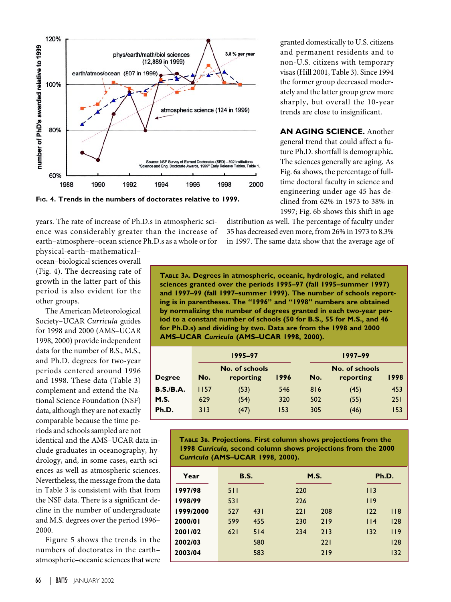

**FIG. 4. Trends in the numbers of doctorates relative to 1999.**

years. The rate of increase of Ph.D.s in atmospheric science was considerably greater than the increase of earth–atmosphere–ocean science Ph.D.s as a whole or for

physical-earth–mathematical– ocean–biological sciences overall (Fig. 4). The decreasing rate of growth in the latter part of this period is also evident for the other groups.

The American Meteorological Society–UCAR *Curricula* guides for 1998 and 2000 (AMS–UCAR 1998, 2000) provide independent data for the number of B.S., M.S., and Ph.D. degrees for two-year periods centered around 1996 and 1998. These data (Table 3) complement and extend the National Science Foundation (NSF) data, although they are not exactly comparable because the time periods and schools sampled are not

identical and the AMS–UCAR data include graduates in oceanography, hydrology, and, in some cases, earth sciences as well as atmospheric sciences. Nevertheless, the message from the data in Table 3 is consistent with that from the NSF data. There is a significant decline in the number of undergraduate and M.S. degrees over the period 1996– 2000.

Figure 5 shows the trends in the numbers of doctorates in the earth– atmospheric–oceanic sciences that were

granted domestically to U.S. citizens and permanent residents and to non-U.S. citizens with temporary visas (Hill 2001, Table 3). Since 1994 the former group decreased moderately and the latter group grew more sharply, but overall the 10-year trends are close to insignificant.

**AN AGING SCIENCE.** Another general trend that could affect a future Ph.D. shortfall is demographic. The sciences generally are aging. As Fig. 6a shows, the percentage of fulltime doctoral faculty in science and engineering under age 45 has declined from 62% in 1973 to 38% in 1997; Fig. 6b shows this shift in age

distribution as well. The percentage of faculty under 35 has decreased even more, from 26% in 1973 to 8.3% in 1997. The same data show that the average age of

**TABLE 3A. Degrees in atmospheric, oceanic, hydrologic, and related sciences granted over the periods 1995–97 (fall 1995–summer 1997) and 1997–99 (fall 1997–summer 1999). The number of schools reporting is in parentheses. The "1996" and "1998" numbers are obtained by normalizing the number of degrees granted in each two-year period to a constant number of schools (50 for B.S., 55 for M.S., and 46 for Ph.D.s) and dividing by two. Data are from the 1998 and 2000 AMS–UCAR** *Curricula* **(AMS–UCAR 1998, 2000).**

|               | 1995-97 |                             |      | 1997-99 |                             |      |  |
|---------------|---------|-----------------------------|------|---------|-----------------------------|------|--|
| <b>Degree</b> | No.     | No. of schools<br>reporting | 1996 | No.     | No. of schools<br>reporting | 1998 |  |
| B.S./B.A.     | I 157   | (53)                        | 546  | 816     | (45)                        | 453  |  |
| M.S.          | 629     | (54)                        | 320  | 502     | (55)                        | 251  |  |
| Ph.D.         | 313     | (47)                        | 153  | 305     | (46)                        | 153  |  |

**TABLE 3B. Projections. First column shows projections from the 1998** *Curricula,* **second column shows projections from the 2000** *Curricula* **(AMS–UCAR 1998, 2000).**

| Year      |     | <b>B.S.</b> |     | M.S. |         | Ph.D.     |
|-----------|-----|-------------|-----|------|---------|-----------|
| 1997/98   | 511 |             | 220 |      | $ $   3 |           |
| 1998/99   | 531 |             | 226 |      | 119     |           |
| 1999/2000 | 527 | 431         | 221 | 208  | 122     | $ $ $ $ 8 |
| 2000/01   | 599 | 455         | 230 | 219  | 114     | 128       |
| 2001/02   | 621 | 514         | 234 | 213  | 132     | 119       |
| 2002/03   |     | 580         |     | 221  |         | 128       |
| 2003/04   |     | 583         |     | 219  |         | 132       |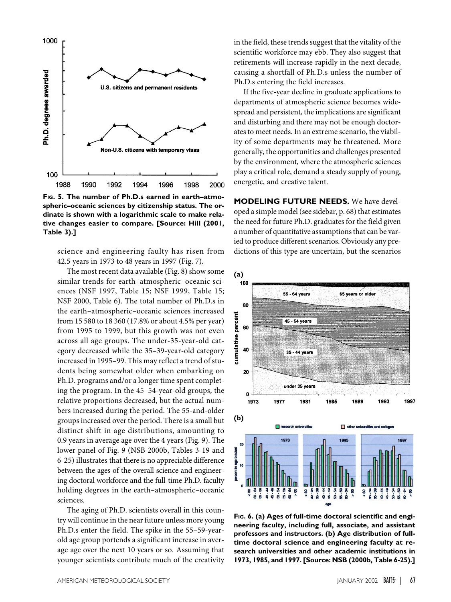

**FIG. 5. The number of Ph.D.s earned in earth–atmospheric–oceanic sciences by citizenship status. The ordinate is shown with a logarithmic scale to make relative changes easier to compare. [Source: Hill (2001, Table 3).]**

science and engineering faulty has risen from 42.5 years in 1973 to 48 years in 1997 (Fig. 7).

The most recent data available (Fig. 8) show some similar trends for earth–atmospheric–oceanic sciences (NSF 1997, Table 15; NSF 1999, Table 15; NSF 2000, Table 6). The total number of Ph.D.s in the earth–atmospheric–oceanic sciences increased from 15 580 to 18 360 (17.8% or about 4.5% per year) from 1995 to 1999, but this growth was not even across all age groups. The under-35-year-old category decreased while the 35–39-year-old category increased in 1995–99. This may reflect a trend of students being somewhat older when embarking on Ph.D. programs and/or a longer time spent completing the program. In the 45–54-year-old groups, the relative proportions decreased, but the actual numbers increased during the period. The 55-and-older groups increased over the period. There is a small but distinct shift in age distributions, amounting to 0.9 years in average age over the 4 years (Fig. 9). The lower panel of Fig. 9 (NSB 2000b, Tables 3-19 and 6-25) illustrates that there is no appreciable difference between the ages of the overall science and engineering doctoral workforce and the full-time Ph.D. faculty holding degrees in the earth–atmospheric–oceanic sciences.

The aging of Ph.D. scientists overall in this country will continue in the near future unless more young Ph.D.s enter the field. The spike in the 55–59-yearold age group portends a significant increase in average age over the next 10 years or so. Assuming that younger scientists contribute much of the creativity

in the field, these trends suggest that the vitality of the scientific workforce may ebb. They also suggest that retirements will increase rapidly in the next decade, causing a shortfall of Ph.D.s unless the number of Ph.D.s entering the field increases.

If the five-year decline in graduate applications to departments of atmospheric science becomes widespread and persistent, the implications are significant and disturbing and there may not be enough doctorates to meet needs. In an extreme scenario, the viability of some departments may be threatened. More generally, the opportunities and challenges presented by the environment, where the atmospheric sciences play a critical role, demand a steady supply of young, energetic, and creative talent.

**MODELING FUTURE NEEDS.** We have developed a simple model (see sidebar, p. 68) that estimates the need for future Ph.D. graduates for the field given a number of quantitative assumptions that can be varied to produce different scenarios. Obviously any predictions of this type are uncertain, but the scenarios



**FIG. 6. (a) Ages of full-time doctoral scientific and engineering faculty, including full, associate, and assistant professors and instructors. (b) Age distribution of fulltime doctoral science and engineering faculty at research universities and other academic institutions in 1973, 1985, and 1997. [Source: NSB (2000b, Table 6-25).]**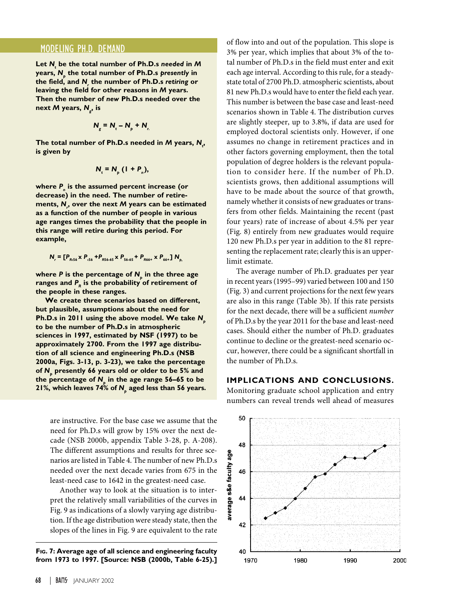## MODELING PH.D. DEMAND

**Let** *Nt*  **be the total number of Ph.D.s** *needed* **in** *M* **years,** *Np*  **the total number of Ph.D.s** *presently* **in the field, and** *Nr*  **the number of Ph.D.s** *retiring* **or leaving the field for other reasons in** *M* **years. Then the number of** *new* **Ph.D.s needed over the next** *M* **years,** *Ng* **, is**

$$
N_{g} = N_{t} - N_{p} + N_{r}
$$

**The total number of Ph.D.s needed in** *M* **years,** *Nt* **, is given by**

$$
N_t = N_p (1 + P_n),
$$

**where** *Pn*  **is the assumed percent increase (or decrease) in the need. The number of retirements,** *Nr* **, over the next** *M* **years can be estimated as a function of the number of people in various age ranges times the probability that the people in this range will retire during this period. For example,**

$$
N_r = [P_{R,56} \times P_{,56} + P_{R,56-65} \times P_{,56-65} + P_{R,66+} \times P_{,66+} ] N_{p}
$$

**where P** is the percentage of  $N_{\text{s}}$  in the three age ranges and  $P<sub>R</sub>$  is the probability of retirement of **the people in these ranges.**

**We create three scenarios based on different, but plausible, assumptions about the need for Ph.D.s in 2011 using the above model. We take** *Np* **to be the number of Ph.D.s in atmospheric sciences in 1997, estimated by NSF (1997) to be approximately 2700. From the 1997 age distribution of all science and engineering Ph.D.s (NSB 2000a, Figs. 3-13, p. 3-23), we take the percentage of** *Np*  **presently 66 years old or older to be 5% and the percentage of** *Np*  **in the age range 56–65 to be 21%, which leaves 74% of** *Np* **aged less than 56 years.**

are instructive. For the base case we assume that the need for Ph.D.s will grow by 15% over the next decade (NSB 2000b, appendix Table 3-28, p. A-208). The different assumptions and results for three scenarios are listed in Table 4. The number of new Ph.D.s needed over the next decade varies from 675 in the least-need case to 1642 in the greatest-need case.

Another way to look at the situation is to interpret the relatively small variabilities of the curves in Fig. 9 as indications of a slowly varying age distribution. If the age distribution were steady state, then the slopes of the lines in Fig. 9 are equivalent to the rate

**FIG. 7: Average age of all science and engineering faculty from 1973 to 1997. [Source: NSB (2000b, Table 6-25).]**

of flow into and out of the population. This slope is 3% per year, which implies that about 3% of the total number of Ph.D.s in the field must enter and exit each age interval. According to this rule, for a steadystate total of 2700 Ph.D. atmospheric scientists, about 81 new Ph.D.s would have to enter the field each year. This number is between the base case and least-need scenarios shown in Table 4. The distribution curves are slightly steeper, up to 3.8%, if data are used for employed doctoral scientists only. However, if one assumes no change in retirement practices and in other factors governing employment, then the total population of degree holders is the relevant population to consider here. If the number of Ph.D. scientists grows, then additional assumptions will have to be made about the source of that growth, namely whether it consists of new graduates or transfers from other fields. Maintaining the recent (past four years) rate of increase of about 4.5% per year (Fig. 8) entirely from new graduates would require 120 new Ph.D.s per year in addition to the 81 representing the replacement rate; clearly this is an upperlimit estimate.

The average number of Ph.D. graduates per year in recent years (1995–99) varied between 100 and 150 (Fig. 3) and current projections for the next few years are also in this range (Table 3b). If this rate persists for the next decade, there will be a sufficient *number* of Ph.D.s by the year 2011 for the base and least-need cases. Should either the number of Ph.D. graduates continue to decline or the greatest-need scenario occur, however, there could be a significant shortfall in the number of Ph.D.s.

### **IMPLICATIONS AND CONCLUSIONS.**

Monitoring graduate school application and entry numbers can reveal trends well ahead of measures

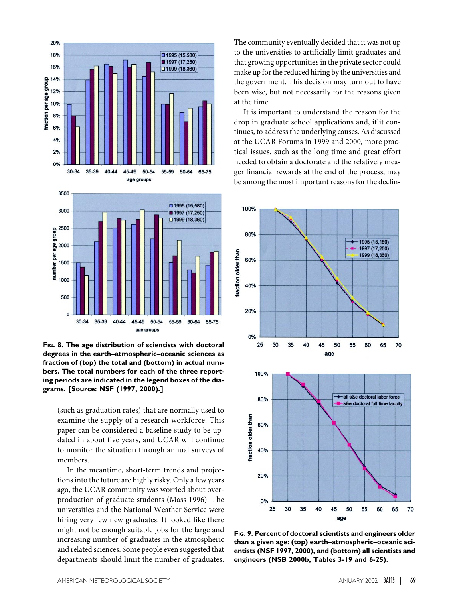

**FIG. 8. The age distribution of scientists with doctoral degrees in the earth–atmospheric–oceanic sciences as fraction of (top) the total and (bottom) in actual numbers. The total numbers for each of the three reporting periods are indicated in the legend boxes of the diagrams. [Source: NSF (1997, 2000).]**

(such as graduation rates) that are normally used to examine the supply of a research workforce. This paper can be considered a baseline study to be updated in about five years, and UCAR will continue to monitor the situation through annual surveys of members.

In the meantime, short-term trends and projections into the future are highly risky. Only a few years ago, the UCAR community was worried about overproduction of graduate students (Mass 1996). The universities and the National Weather Service were hiring very few new graduates. It looked like there might not be enough suitable jobs for the large and increasing number of graduates in the atmospheric and related sciences. Some people even suggested that departments should limit the number of graduates.

The community eventually decided that it was not up to the universities to artificially limit graduates and that growing opportunities in the private sector could make up for the reduced hiring by the universities and the government. This decision may turn out to have been wise, but not necessarily for the reasons given at the time.

It is important to understand the reason for the drop in graduate school applications and, if it continues, to address the underlying causes. As discussed at the UCAR Forums in 1999 and 2000, more practical issues, such as the long time and great effort needed to obtain a doctorate and the relatively meager financial rewards at the end of the process, may be among the most important reasons for the declin-



**FIG. 9. Percent of doctoral scientists and engineers older than a given age: (top) earth–atmospheric–oceanic scientists (NSF 1997, 2000), and (bottom) all scientists and engineers (NSB 2000b, Tables 3-19 and 6-25).**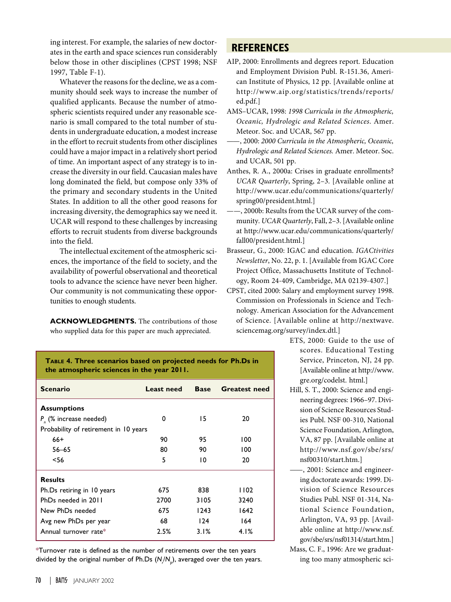ing interest. For example, the salaries of new doctorates in the earth and space sciences run considerably below those in other disciplines (CPST 1998; NSF 1997, Table F-1).

Whatever the reasons for the decline, we as a community should seek ways to increase the number of qualified applicants. Because the number of atmospheric scientists required under any reasonable scenario is small compared to the total number of students in undergraduate education, a modest increase in the effort to recruit students from other disciplines could have a major impact in a relatively short period of time. An important aspect of any strategy is to increase the diversity in our field. Caucasian males have long dominated the field, but compose only 33% of the primary and secondary students in the United States. In addition to all the other good reasons for increasing diversity, the demographics say we need it. UCAR will respond to these challenges by increasing efforts to recruit students from diverse backgrounds into the field.

The intellectual excitement of the atmospheric sciences, the importance of the field to society, and the availability of powerful observational and theoretical tools to advance the science have never been higher. Our community is not communicating these opportunities to enough students.

**ACKNOWLEDGMENTS.** The contributions of those who supplied data for this paper are much appreciated.

# **REFERENCES**

- AIP, 2000: Enrollments and degrees report*.* Education and Employment Division Publ. R-151.36, American Institute of Physics, 12 pp. [Available online at http://www.aip.org/statistics/trends/reports/ ed.pdf.]
- AMS–UCAR, 1998: *1998 Curricula in the Atmospheric, Oceanic, Hydrologic and Related Sciences*. Amer. Meteor. Soc. and UCAR, 567 pp.
- ——, 2000: *2000 Curricula in the Atmospheric, Oceanic, Hydrologic and Related Sciences.* Amer. Meteor. Soc. and UCAR, 501 pp.
- Anthes, R. A., 2000a: Crises in graduate enrollments? *UCAR Quarterly*, Spring, 2–3. [Available online at http://www.ucar.edu/communications/quarterly/ spring00/president.html.]
- ——, 2000b: Results from the UCAR survey of the community. *UCAR Quarterly*, Fall, 2–3. [Available online at http://www.ucar.edu/communications/quarterly/ fall00/president.html.]
- Brasseur, G., 2000: IGAC and education. *IGACtivities Newsletter*, No. 22, p. 1. [Available from IGAC Core Project Office, Massachusetts Institute of Technology, Room 24-409, Cambridge, MA 02139-4307.]
- CPST, cited 2000: Salary and employment survey 1998. Commission on Professionals in Science and Technology. American Association for the Advancement of Science. [Available online at http://nextwave. sciencemag.org/survey/index.dtl.]
	- ETS, 2000: Guide to the use of scores. Educational Testing Service, Princeton, NJ, 24 pp. [Available online at http://www. gre.org/codelst. html.]
	- Hill, S. T., 2000: Science and engineering degrees: 1966–97. Division of Science Resources Studies Publ. NSF 00-310, National Science Foundation, Arlington, VA, 87 pp. [Available online at http://www.nsf.gov/sbe/srs/ nsf00310/start.htm.]
	- ——, 2001: Science and engineering doctorate awards: 1999. Division of Science Resources Studies Publ. NSF 01-314, National Science Foundation, Arlington, VA, 93 pp. [Available online at http://www.nsf. gov/sbe/srs/nsf01314/start.htm.]
	- Mass, C. F., 1996: Are we graduating too many atmospheric sci-

**TABLE 4. Three scenarios based on projected needs for Ph.Ds in the atmospheric sciences in the year 2011.**

| <b>Scenario</b>                       | Least need | <b>Base</b> | <b>Greatest need</b> |
|---------------------------------------|------------|-------------|----------------------|
| <b>Assumptions</b>                    |            |             |                      |
| $P_{n}$ (% increase needed)           | 0          | 15          | 20                   |
| Probability of retirement in 10 years |            |             |                      |
| $66+$                                 | 90         | 95          | 100                  |
| $56 - 65$                             | 80         | 90          | 100                  |
| $<$ 56                                | 5          | 10          | 20                   |
| <b>Results</b>                        |            |             |                      |
| Ph.Ds retiring in 10 years            | 675        | 838         | 1102                 |
| PhDs needed in 2011                   | 2700       | 3105        | 3240                 |
| New PhDs needed                       | 675        | 1243        | 1642                 |
| Avg new PhDs per year                 | 68         | 124         | 164                  |
| Annual turnover rate*                 | 2.5%       | 3.1%        | 4.1%                 |

\*Turnover rate is defined as the number of retirements over the ten years divided by the original number of Ph.Ds (N<sub>/</sub>N<sub>p</sub>), averaged over the ten years.